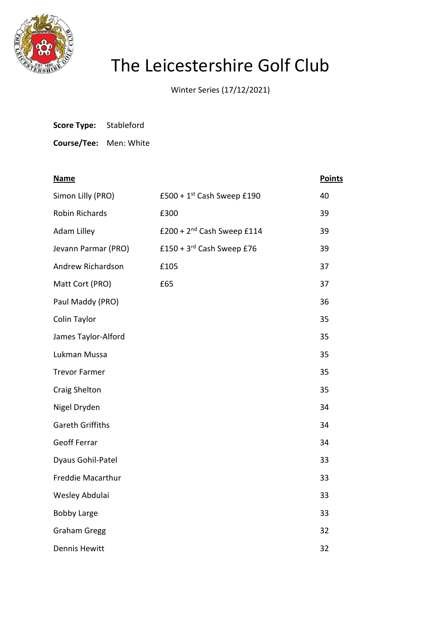

## The Leicestershire Golf Club

Winter Series (17/12/2021)

| <b>Score Type:</b> | Stableford |
|--------------------|------------|
|--------------------|------------|

**Course/Tee:** Men: White

| <b>Name</b>             |                                       | <b>Points</b> |
|-------------------------|---------------------------------------|---------------|
| Simon Lilly (PRO)       | $£500 + 1st$ Cash Sweep £190          | 40            |
| Robin Richards          | £300                                  | 39            |
| <b>Adam Lilley</b>      | £200 + $2nd$ Cash Sweep £114          | 39            |
| Jevann Parmar (PRO)     | £150 + $3^{\text{rd}}$ Cash Sweep £76 | 39            |
| Andrew Richardson       | £105                                  | 37            |
| Matt Cort (PRO)         | £65                                   | 37            |
| Paul Maddy (PRO)        |                                       | 36            |
| Colin Taylor            |                                       | 35            |
| James Taylor-Alford     |                                       | 35            |
| Lukman Mussa            |                                       | 35            |
| <b>Trevor Farmer</b>    |                                       | 35            |
| <b>Craig Shelton</b>    |                                       | 35            |
| Nigel Dryden            |                                       | 34            |
| <b>Gareth Griffiths</b> |                                       | 34            |
| <b>Geoff Ferrar</b>     |                                       | 34            |
| Dyaus Gohil-Patel       |                                       | 33            |
| Freddie Macarthur       |                                       | 33            |
| Wesley Abdulai          |                                       | 33            |
| <b>Bobby Large</b>      |                                       | 33            |
| <b>Graham Gregg</b>     |                                       | 32            |
| <b>Dennis Hewitt</b>    |                                       | 32            |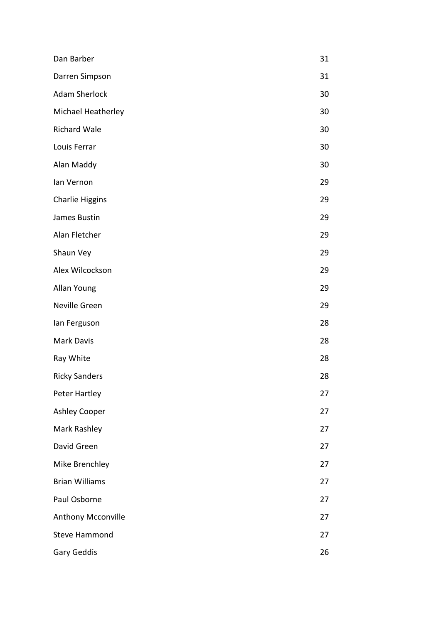| Dan Barber                | 31 |
|---------------------------|----|
| Darren Simpson            | 31 |
| <b>Adam Sherlock</b>      | 30 |
| Michael Heatherley        | 30 |
| <b>Richard Wale</b>       | 30 |
| Louis Ferrar              | 30 |
| Alan Maddy                | 30 |
| lan Vernon                | 29 |
| <b>Charlie Higgins</b>    | 29 |
| James Bustin              | 29 |
| Alan Fletcher             | 29 |
| Shaun Vey                 | 29 |
| Alex Wilcockson           | 29 |
| Allan Young               | 29 |
| Neville Green             | 29 |
| lan Ferguson              | 28 |
| <b>Mark Davis</b>         | 28 |
| Ray White                 | 28 |
| <b>Ricky Sanders</b>      | 28 |
| Peter Hartley             | 27 |
| <b>Ashley Cooper</b>      | 27 |
| Mark Rashley              | 27 |
| David Green               | 27 |
| Mike Brenchley            | 27 |
| <b>Brian Williams</b>     | 27 |
| Paul Osborne              | 27 |
| <b>Anthony Mcconville</b> | 27 |
| <b>Steve Hammond</b>      | 27 |
| Gary Geddis               | 26 |